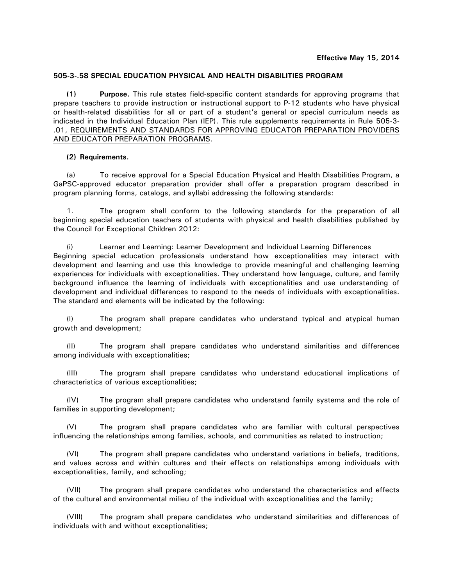# **505-3-.58 SPECIAL EDUCATION PHYSICAL AND HEALTH DISABILITIES PROGRAM**

**(1) Purpose.** This rule states field-specific content standards for approving programs that prepare teachers to provide instruction or instructional support to P-12 students who have physical or health-related disabilities for all or part of a student's general or special curriculum needs as indicated in the Individual Education Plan (IEP). This rule supplements requirements in Rule 505-3- .01, REQUIREMENTS AND STANDARDS FOR APPROVING EDUCATOR PREPARATION PROVIDERS AND EDUCATOR PREPARATION PROGRAMS.

### **(2) Requirements.**

(a) To receive approval for a Special Education Physical and Health Disabilities Program, a GaPSC-approved educator preparation provider shall offer a preparation program described in program planning forms, catalogs, and syllabi addressing the following standards:

1. The program shall conform to the following standards for the preparation of all beginning special education teachers of students with physical and health disabilities published by the Council for Exceptional Children 2012:

(i) Learner and Learning: Learner Development and Individual Learning Differences Beginning special education professionals understand how exceptionalities may interact with development and learning and use this knowledge to provide meaningful and challenging learning experiences for individuals with exceptionalities. They understand how language, culture, and family background influence the learning of individuals with exceptionalities and use understanding of development and individual differences to respond to the needs of individuals with exceptionalities. The standard and elements will be indicated by the following:

(I) The program shall prepare candidates who understand typical and atypical human growth and development;

(II) The program shall prepare candidates who understand similarities and differences among individuals with exceptionalities;

(III) The program shall prepare candidates who understand educational implications of characteristics of various exceptionalities;

(IV) The program shall prepare candidates who understand family systems and the role of families in supporting development;

(V) The program shall prepare candidates who are familiar with cultural perspectives influencing the relationships among families, schools, and communities as related to instruction;

(VI) The program shall prepare candidates who understand variations in beliefs, traditions, and values across and within cultures and their effects on relationships among individuals with exceptionalities, family, and schooling;

(VII) The program shall prepare candidates who understand the characteristics and effects of the cultural and environmental milieu of the individual with exceptionalities and the family;

(VIII) The program shall prepare candidates who understand similarities and differences of individuals with and without exceptionalities;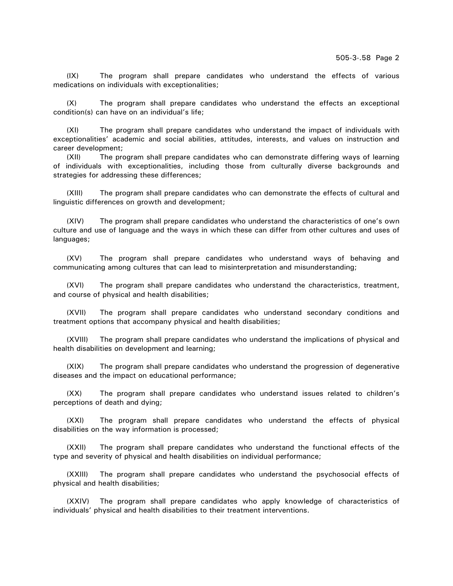(IX) The program shall prepare candidates who understand the effects of various medications on individuals with exceptionalities;

(X) The program shall prepare candidates who understand the effects an exceptional condition(s) can have on an individual's life;

(XI) The program shall prepare candidates who understand the impact of individuals with exceptionalities' academic and social abilities, attitudes, interests, and values on instruction and career development;

(XII) The program shall prepare candidates who can demonstrate differing ways of learning of individuals with exceptionalities, including those from culturally diverse backgrounds and strategies for addressing these differences;

(XIII) The program shall prepare candidates who can demonstrate the effects of cultural and linguistic differences on growth and development;

(XIV) The program shall prepare candidates who understand the characteristics of one's own culture and use of language and the ways in which these can differ from other cultures and uses of languages;

(XV) The program shall prepare candidates who understand ways of behaving and communicating among cultures that can lead to misinterpretation and misunderstanding;

(XVI) The program shall prepare candidates who understand the characteristics, treatment, and course of physical and health disabilities;

(XVII) The program shall prepare candidates who understand secondary conditions and treatment options that accompany physical and health disabilities;

(XVIII) The program shall prepare candidates who understand the implications of physical and health disabilities on development and learning;

(XIX) The program shall prepare candidates who understand the progression of degenerative diseases and the impact on educational performance;

(XX) The program shall prepare candidates who understand issues related to children's perceptions of death and dying;

(XXI) The program shall prepare candidates who understand the effects of physical disabilities on the way information is processed;

(XXII) The program shall prepare candidates who understand the functional effects of the type and severity of physical and health disabilities on individual performance;

(XXIII) The program shall prepare candidates who understand the psychosocial effects of physical and health disabilities;

(XXIV) The program shall prepare candidates who apply knowledge of characteristics of individuals' physical and health disabilities to their treatment interventions.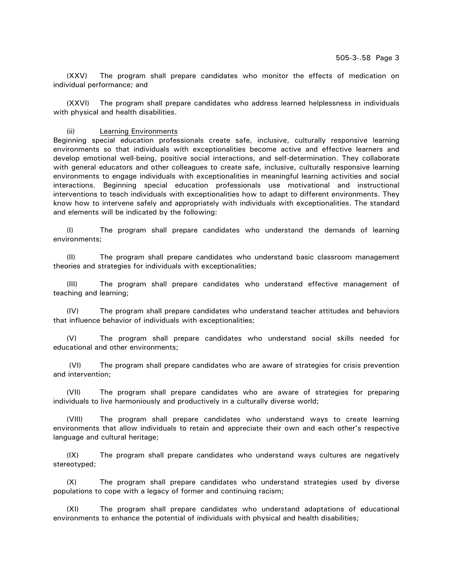(XXV) The program shall prepare candidates who monitor the effects of medication on individual performance; and

(XXVI) The program shall prepare candidates who address learned helplessness in individuals with physical and health disabilities.

#### (ii) Learning Environments

Beginning special education professionals create safe, inclusive, culturally responsive learning environments so that individuals with exceptionalities become active and effective learners and develop emotional well-being, positive social interactions, and self-determination. They collaborate with general educators and other colleagues to create safe, inclusive, culturally responsive learning environments to engage individuals with exceptionalities in meaningful learning activities and social interactions. Beginning special education professionals use motivational and instructional interventions to teach individuals with exceptionalities how to adapt to different environments. They know how to intervene safely and appropriately with individuals with exceptionalities. The standard and elements will be indicated by the following:

(I) The program shall prepare candidates who understand the demands of learning environments;

(II) The program shall prepare candidates who understand basic classroom management theories and strategies for individuals with exceptionalities;

(III) The program shall prepare candidates who understand effective management of teaching and learning;

(IV) The program shall prepare candidates who understand teacher attitudes and behaviors that influence behavior of individuals with exceptionalities;

(V) The program shall prepare candidates who understand social skills needed for educational and other environments;

 (VI) The program shall prepare candidates who are aware of strategies for crisis prevention and intervention;

(VII) The program shall prepare candidates who are aware of strategies for preparing individuals to live harmoniously and productively in a culturally diverse world;

(VIII) The program shall prepare candidates who understand ways to create learning environments that allow individuals to retain and appreciate their own and each other's respective language and cultural heritage;

(IX) The program shall prepare candidates who understand ways cultures are negatively stereotyped;

(X) The program shall prepare candidates who understand strategies used by diverse populations to cope with a legacy of former and continuing racism;

(XI) The program shall prepare candidates who understand adaptations of educational environments to enhance the potential of individuals with physical and health disabilities;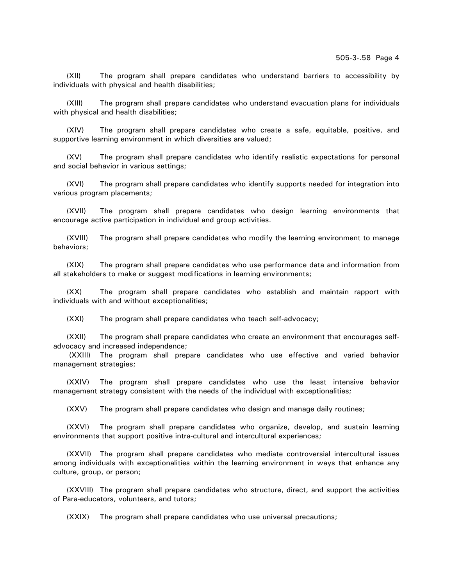(XII) The program shall prepare candidates who understand barriers to accessibility by individuals with physical and health disabilities;

(XIII) The program shall prepare candidates who understand evacuation plans for individuals with physical and health disabilities;

(XIV) The program shall prepare candidates who create a safe, equitable, positive, and supportive learning environment in which diversities are valued;

(XV) The program shall prepare candidates who identify realistic expectations for personal and social behavior in various settings;

(XVI) The program shall prepare candidates who identify supports needed for integration into various program placements;

(XVII) The program shall prepare candidates who design learning environments that encourage active participation in individual and group activities.

(XVIII) The program shall prepare candidates who modify the learning environment to manage behaviors;

(XIX) The program shall prepare candidates who use performance data and information from all stakeholders to make or suggest modifications in learning environments;

(XX) The program shall prepare candidates who establish and maintain rapport with individuals with and without exceptionalities;

(XXI) The program shall prepare candidates who teach self-advocacy;

(XXII) The program shall prepare candidates who create an environment that encourages selfadvocacy and increased independence;

 (XXIII) The program shall prepare candidates who use effective and varied behavior management strategies;

(XXIV) The program shall prepare candidates who use the least intensive behavior management strategy consistent with the needs of the individual with exceptionalities;

(XXV) The program shall prepare candidates who design and manage daily routines;

(XXVI) The program shall prepare candidates who organize, develop, and sustain learning environments that support positive intra-cultural and intercultural experiences;

(XXVII) The program shall prepare candidates who mediate controversial intercultural issues among individuals with exceptionalities within the learning environment in ways that enhance any culture, group, or person;

(XXVIII) The program shall prepare candidates who structure, direct, and support the activities of Para-educators, volunteers, and tutors;

(XXIX) The program shall prepare candidates who use universal precautions;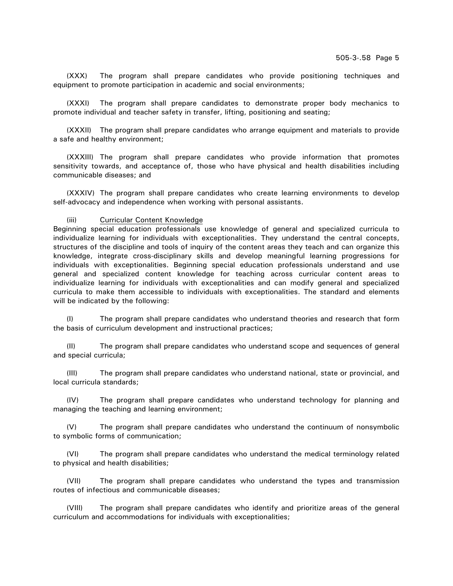(XXX) The program shall prepare candidates who provide positioning techniques and equipment to promote participation in academic and social environments;

(XXXI) The program shall prepare candidates to demonstrate proper body mechanics to promote individual and teacher safety in transfer, lifting, positioning and seating;

(XXXII) The program shall prepare candidates who arrange equipment and materials to provide a safe and healthy environment;

(XXXIII) The program shall prepare candidates who provide information that promotes sensitivity towards, and acceptance of, those who have physical and health disabilities including communicable diseases; and

(XXXIV) The program shall prepare candidates who create learning environments to develop self-advocacy and independence when working with personal assistants.

#### (iii) Curricular Content Knowledge

Beginning special education professionals use knowledge of general and specialized curricula to individualize learning for individuals with exceptionalities. They understand the central concepts, structures of the discipline and tools of inquiry of the content areas they teach and can organize this knowledge, integrate cross-disciplinary skills and develop meaningful learning progressions for individuals with exceptionalities. Beginning special education professionals understand and use general and specialized content knowledge for teaching across curricular content areas to individualize learning for individuals with exceptionalities and can modify general and specialized curricula to make them accessible to individuals with exceptionalities. The standard and elements will be indicated by the following:

(I) The program shall prepare candidates who understand theories and research that form the basis of curriculum development and instructional practices;

(II) The program shall prepare candidates who understand scope and sequences of general and special curricula;

(III) The program shall prepare candidates who understand national, state or provincial, and local curricula standards;

(IV) The program shall prepare candidates who understand technology for planning and managing the teaching and learning environment;

(V) The program shall prepare candidates who understand the continuum of nonsymbolic to symbolic forms of communication;

(VI) The program shall prepare candidates who understand the medical terminology related to physical and health disabilities;

(VII) The program shall prepare candidates who understand the types and transmission routes of infectious and communicable diseases;

(VIII) The program shall prepare candidates who identify and prioritize areas of the general curriculum and accommodations for individuals with exceptionalities;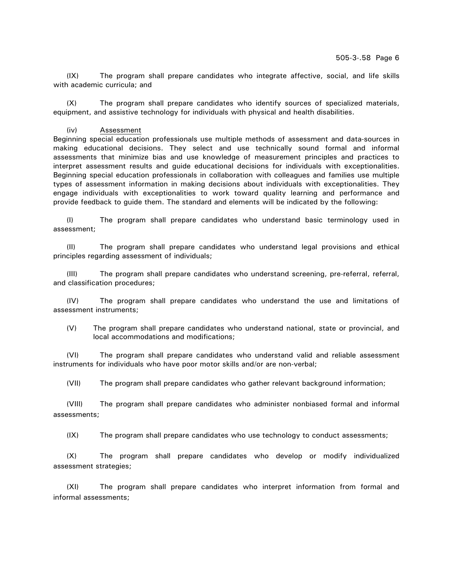(IX) The program shall prepare candidates who integrate affective, social, and life skills with academic curricula; and

(X) The program shall prepare candidates who identify sources of specialized materials, equipment, and assistive technology for individuals with physical and health disabilities.

#### (iv) Assessment

Beginning special education professionals use multiple methods of assessment and data-sources in making educational decisions. They select and use technically sound formal and informal assessments that minimize bias and use knowledge of measurement principles and practices to interpret assessment results and guide educational decisions for individuals with exceptionalities. Beginning special education professionals in collaboration with colleagues and families use multiple types of assessment information in making decisions about individuals with exceptionalities. They engage individuals with exceptionalities to work toward quality learning and performance and provide feedback to guide them. The standard and elements will be indicated by the following:

(I) The program shall prepare candidates who understand basic terminology used in assessment;

(II) The program shall prepare candidates who understand legal provisions and ethical principles regarding assessment of individuals;

(III) The program shall prepare candidates who understand screening, pre-referral, referral, and classification procedures;

(IV) The program shall prepare candidates who understand the use and limitations of assessment instruments;

(V) The program shall prepare candidates who understand national, state or provincial, and local accommodations and modifications;

(VI) The program shall prepare candidates who understand valid and reliable assessment instruments for individuals who have poor motor skills and/or are non-verbal;

(VII) The program shall prepare candidates who gather relevant background information;

(VIII) The program shall prepare candidates who administer nonbiased formal and informal assessments;

(IX) The program shall prepare candidates who use technology to conduct assessments;

(X) The program shall prepare candidates who develop or modify individualized assessment strategies;

(XI) The program shall prepare candidates who interpret information from formal and informal assessments;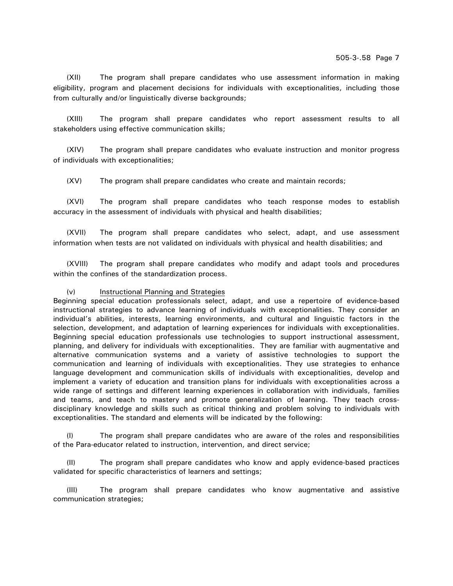(XII) The program shall prepare candidates who use assessment information in making eligibility, program and placement decisions for individuals with exceptionalities, including those from culturally and/or linguistically diverse backgrounds;

(XIII) The program shall prepare candidates who report assessment results to all stakeholders using effective communication skills;

(XIV) The program shall prepare candidates who evaluate instruction and monitor progress of individuals with exceptionalities;

(XV) The program shall prepare candidates who create and maintain records;

(XVI) The program shall prepare candidates who teach response modes to establish accuracy in the assessment of individuals with physical and health disabilities;

(XVII) The program shall prepare candidates who select, adapt, and use assessment information when tests are not validated on individuals with physical and health disabilities; and

(XVIII) The program shall prepare candidates who modify and adapt tools and procedures within the confines of the standardization process.

# (v) Instructional Planning and Strategies

Beginning special education professionals select, adapt, and use a repertoire of evidence-based instructional strategies to advance learning of individuals with exceptionalities. They consider an individual's abilities, interests, learning environments, and cultural and linguistic factors in the selection, development, and adaptation of learning experiences for individuals with exceptionalities. Beginning special education professionals use technologies to support instructional assessment, planning, and delivery for individuals with exceptionalities. They are familiar with augmentative and alternative communication systems and a variety of assistive technologies to support the communication and learning of individuals with exceptionalities. They use strategies to enhance language development and communication skills of individuals with exceptionalities, develop and implement a variety of education and transition plans for individuals with exceptionalities across a wide range of settings and different learning experiences in collaboration with individuals, families and teams, and teach to mastery and promote generalization of learning. They teach crossdisciplinary knowledge and skills such as critical thinking and problem solving to individuals with exceptionalities. The standard and elements will be indicated by the following:

The program shall prepare candidates who are aware of the roles and responsibilities of the Para-educator related to instruction, intervention, and direct service;

(II) The program shall prepare candidates who know and apply evidence-based practices validated for specific characteristics of learners and settings;

(III) The program shall prepare candidates who know augmentative and assistive communication strategies;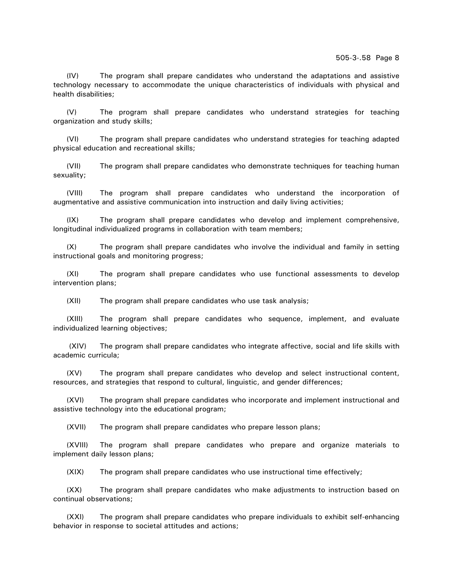(IV) The program shall prepare candidates who understand the adaptations and assistive technology necessary to accommodate the unique characteristics of individuals with physical and health disabilities;

(V) The program shall prepare candidates who understand strategies for teaching organization and study skills;

(VI) The program shall prepare candidates who understand strategies for teaching adapted physical education and recreational skills;

(VII) The program shall prepare candidates who demonstrate techniques for teaching human sexuality;

(VIII) The program shall prepare candidates who understand the incorporation of augmentative and assistive communication into instruction and daily living activities;

(IX) The program shall prepare candidates who develop and implement comprehensive, longitudinal individualized programs in collaboration with team members;

(X) The program shall prepare candidates who involve the individual and family in setting instructional goals and monitoring progress;

(XI) The program shall prepare candidates who use functional assessments to develop intervention plans;

(XII) The program shall prepare candidates who use task analysis;

(XIII) The program shall prepare candidates who sequence, implement, and evaluate individualized learning objectives;

 (XIV) The program shall prepare candidates who integrate affective, social and life skills with academic curricula;

(XV) The program shall prepare candidates who develop and select instructional content, resources, and strategies that respond to cultural, linguistic, and gender differences;

(XVI) The program shall prepare candidates who incorporate and implement instructional and assistive technology into the educational program;

(XVII) The program shall prepare candidates who prepare lesson plans;

(XVIII) The program shall prepare candidates who prepare and organize materials to implement daily lesson plans;

(XIX) The program shall prepare candidates who use instructional time effectively;

(XX) The program shall prepare candidates who make adjustments to instruction based on continual observations;

(XXI) The program shall prepare candidates who prepare individuals to exhibit self-enhancing behavior in response to societal attitudes and actions;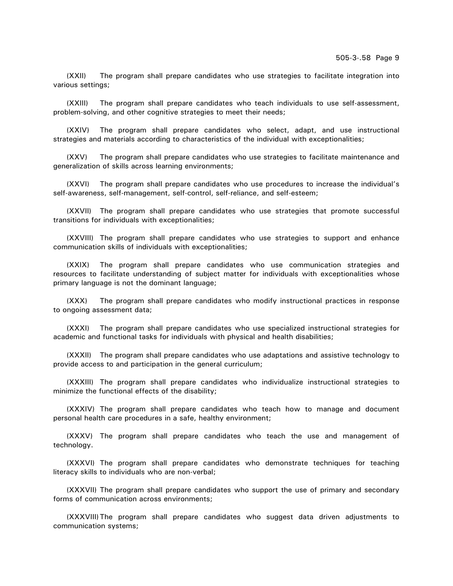(XXII) The program shall prepare candidates who use strategies to facilitate integration into various settings;

(XXIII) The program shall prepare candidates who teach individuals to use self-assessment, problem-solving, and other cognitive strategies to meet their needs;

(XXIV) The program shall prepare candidates who select, adapt, and use instructional strategies and materials according to characteristics of the individual with exceptionalities;

(XXV) The program shall prepare candidates who use strategies to facilitate maintenance and generalization of skills across learning environments;

(XXVI) The program shall prepare candidates who use procedures to increase the individual's self-awareness, self-management, self-control, self-reliance, and self-esteem;

(XXVII) The program shall prepare candidates who use strategies that promote successful transitions for individuals with exceptionalities;

(XXVIII) The program shall prepare candidates who use strategies to support and enhance communication skills of individuals with exceptionalities;

(XXIX) The program shall prepare candidates who use communication strategies and resources to facilitate understanding of subject matter for individuals with exceptionalities whose primary language is not the dominant language;

(XXX) The program shall prepare candidates who modify instructional practices in response to ongoing assessment data;

(XXXI) The program shall prepare candidates who use specialized instructional strategies for academic and functional tasks for individuals with physical and health disabilities;

(XXXII) The program shall prepare candidates who use adaptations and assistive technology to provide access to and participation in the general curriculum;

(XXXIII) The program shall prepare candidates who individualize instructional strategies to minimize the functional effects of the disability;

(XXXIV) The program shall prepare candidates who teach how to manage and document personal health care procedures in a safe, healthy environment;

(XXXV) The program shall prepare candidates who teach the use and management of technology.

(XXXVI) The program shall prepare candidates who demonstrate techniques for teaching literacy skills to individuals who are non-verbal;

(XXXVII) The program shall prepare candidates who support the use of primary and secondary forms of communication across environments;

(XXXVIII) The program shall prepare candidates who suggest data driven adjustments to communication systems;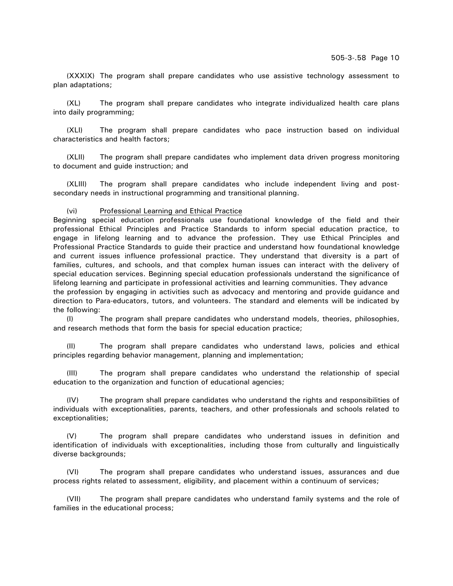(XXXIX) The program shall prepare candidates who use assistive technology assessment to plan adaptations;

(XL) The program shall prepare candidates who integrate individualized health care plans into daily programming;

(XLI) The program shall prepare candidates who pace instruction based on individual characteristics and health factors;

(XLII) The program shall prepare candidates who implement data driven progress monitoring to document and guide instruction; and

(XLIII) The program shall prepare candidates who include independent living and postsecondary needs in instructional programming and transitional planning.

### (vi) Professional Learning and Ethical Practice

Beginning special education professionals use foundational knowledge of the field and their professional Ethical Principles and Practice Standards to inform special education practice, to engage in lifelong learning and to advance the profession. They use Ethical Principles and Professional Practice Standards to guide their practice and understand how foundational knowledge and current issues influence professional practice. They understand that diversity is a part of families, cultures, and schools, and that complex human issues can interact with the delivery of special education services. Beginning special education professionals understand the significance of lifelong learning and participate in professional activities and learning communities. They advance the profession by engaging in activities such as advocacy and mentoring and provide guidance and direction to Para-educators, tutors, and volunteers. The standard and elements will be indicated by the following:

(I) The program shall prepare candidates who understand models, theories, philosophies, and research methods that form the basis for special education practice;

(II) The program shall prepare candidates who understand laws, policies and ethical principles regarding behavior management, planning and implementation;

(III) The program shall prepare candidates who understand the relationship of special education to the organization and function of educational agencies;

(IV) The program shall prepare candidates who understand the rights and responsibilities of individuals with exceptionalities, parents, teachers, and other professionals and schools related to exceptionalities;

(V) The program shall prepare candidates who understand issues in definition and identification of individuals with exceptionalities, including those from culturally and linguistically diverse backgrounds;

(VI) The program shall prepare candidates who understand issues, assurances and due process rights related to assessment, eligibility, and placement within a continuum of services;

(VII) The program shall prepare candidates who understand family systems and the role of families in the educational process;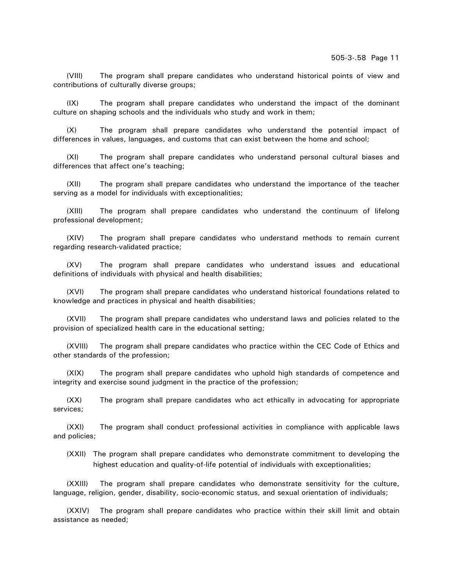(VIII) The program shall prepare candidates who understand historical points of view and contributions of culturally diverse groups;

(IX) The program shall prepare candidates who understand the impact of the dominant culture on shaping schools and the individuals who study and work in them;

(X) The program shall prepare candidates who understand the potential impact of differences in values, languages, and customs that can exist between the home and school;

(XI) The program shall prepare candidates who understand personal cultural biases and differences that affect one's teaching;

(XII) The program shall prepare candidates who understand the importance of the teacher serving as a model for individuals with exceptionalities;

(XIII) The program shall prepare candidates who understand the continuum of lifelong professional development;

(XIV) The program shall prepare candidates who understand methods to remain current regarding research-validated practice;

(XV) The program shall prepare candidates who understand issues and educational definitions of individuals with physical and health disabilities;

(XVI) The program shall prepare candidates who understand historical foundations related to knowledge and practices in physical and health disabilities;

(XVII) The program shall prepare candidates who understand laws and policies related to the provision of specialized health care in the educational setting;

(XVIII) The program shall prepare candidates who practice within the CEC Code of Ethics and other standards of the profession;

(XIX) The program shall prepare candidates who uphold high standards of competence and integrity and exercise sound judgment in the practice of the profession;

(XX) The program shall prepare candidates who act ethically in advocating for appropriate services;

(XXI) The program shall conduct professional activities in compliance with applicable laws and policies;

(XXII) The program shall prepare candidates who demonstrate commitment to developing the highest education and quality-of-life potential of individuals with exceptionalities;

(XXIII) The program shall prepare candidates who demonstrate sensitivity for the culture, language, religion, gender, disability, socio-economic status, and sexual orientation of individuals;

(XXIV) The program shall prepare candidates who practice within their skill limit and obtain assistance as needed;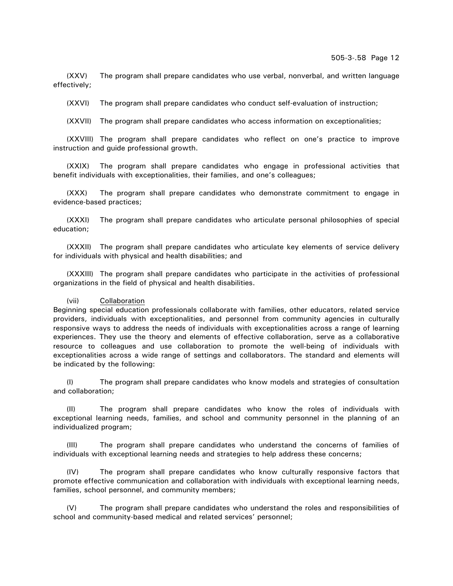(XXV) The program shall prepare candidates who use verbal, nonverbal, and written language effectively;

(XXVI) The program shall prepare candidates who conduct self-evaluation of instruction;

(XXVII) The program shall prepare candidates who access information on exceptionalities;

(XXVIII) The program shall prepare candidates who reflect on one's practice to improve instruction and guide professional growth.

(XXIX) The program shall prepare candidates who engage in professional activities that benefit individuals with exceptionalities, their families, and one's colleagues;

(XXX) The program shall prepare candidates who demonstrate commitment to engage in evidence-based practices;

(XXXI) The program shall prepare candidates who articulate personal philosophies of special education;

(XXXII) The program shall prepare candidates who articulate key elements of service delivery for individuals with physical and health disabilities; and

(XXXIII) The program shall prepare candidates who participate in the activities of professional organizations in the field of physical and health disabilities.

#### (vii) Collaboration

Beginning special education professionals collaborate with families, other educators, related service providers, individuals with exceptionalities, and personnel from community agencies in culturally responsive ways to address the needs of individuals with exceptionalities across a range of learning experiences. They use the theory and elements of effective collaboration, serve as a collaborative resource to colleagues and use collaboration to promote the well-being of individuals with exceptionalities across a wide range of settings and collaborators. The standard and elements will be indicated by the following:

(I) The program shall prepare candidates who know models and strategies of consultation and collaboration;

(II) The program shall prepare candidates who know the roles of individuals with exceptional learning needs, families, and school and community personnel in the planning of an individualized program;

(III) The program shall prepare candidates who understand the concerns of families of individuals with exceptional learning needs and strategies to help address these concerns;

(IV) The program shall prepare candidates who know culturally responsive factors that promote effective communication and collaboration with individuals with exceptional learning needs, families, school personnel, and community members;

(V) The program shall prepare candidates who understand the roles and responsibilities of school and community-based medical and related services' personnel;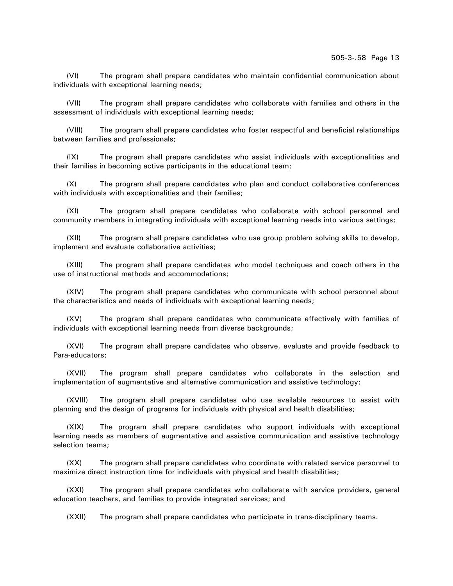(VI) The program shall prepare candidates who maintain confidential communication about individuals with exceptional learning needs;

(VII) The program shall prepare candidates who collaborate with families and others in the assessment of individuals with exceptional learning needs;

(VIII) The program shall prepare candidates who foster respectful and beneficial relationships between families and professionals;

(IX) The program shall prepare candidates who assist individuals with exceptionalities and their families in becoming active participants in the educational team;

(X) The program shall prepare candidates who plan and conduct collaborative conferences with individuals with exceptionalities and their families;

(XI) The program shall prepare candidates who collaborate with school personnel and community members in integrating individuals with exceptional learning needs into various settings;

(XII) The program shall prepare candidates who use group problem solving skills to develop, implement and evaluate collaborative activities;

(XIII) The program shall prepare candidates who model techniques and coach others in the use of instructional methods and accommodations;

(XIV) The program shall prepare candidates who communicate with school personnel about the characteristics and needs of individuals with exceptional learning needs;

(XV) The program shall prepare candidates who communicate effectively with families of individuals with exceptional learning needs from diverse backgrounds;

(XVI) The program shall prepare candidates who observe, evaluate and provide feedback to Para-educators;

(XVII) The program shall prepare candidates who collaborate in the selection and implementation of augmentative and alternative communication and assistive technology;

(XVIII) The program shall prepare candidates who use available resources to assist with planning and the design of programs for individuals with physical and health disabilities;

(XIX) The program shall prepare candidates who support individuals with exceptional learning needs as members of augmentative and assistive communication and assistive technology selection teams;

(XX) The program shall prepare candidates who coordinate with related service personnel to maximize direct instruction time for individuals with physical and health disabilities;

(XXI) The program shall prepare candidates who collaborate with service providers, general education teachers, and families to provide integrated services; and

(XXII) The program shall prepare candidates who participate in trans-disciplinary teams.